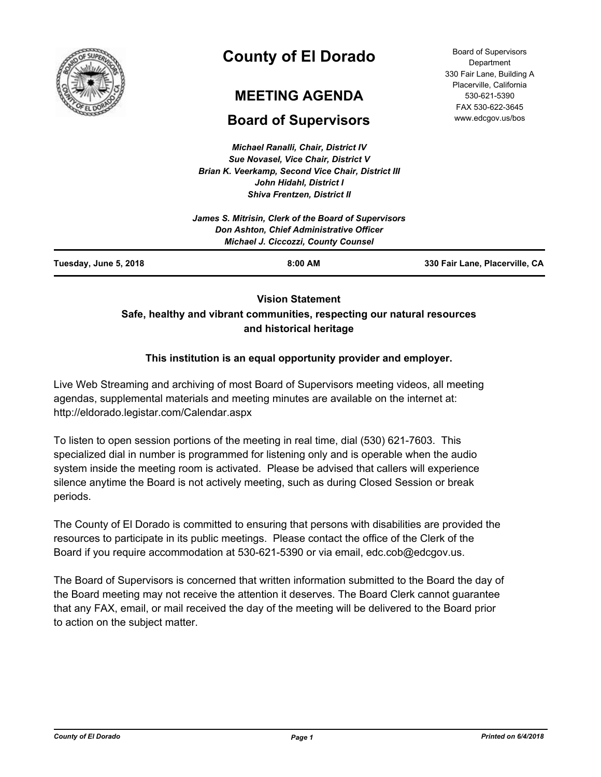

# **County of El Dorado**

## **MEETING AGENDA**

## **Board of Supervisors**

*Michael Ranalli, Chair, District IV Sue Novasel, Vice Chair, District V Brian K. Veerkamp, Second Vice Chair, District III John Hidahl, District I Shiva Frentzen, District II*

Board of Supervisors **Department** 330 Fair Lane, Building A Placerville, California 530-621-5390 FAX 530-622-3645 www.edcgov.us/bos

## **Vision Statement Safe, healthy and vibrant communities, respecting our natural resources and historical heritage**

## **This institution is an equal opportunity provider and employer.**

Live Web Streaming and archiving of most Board of Supervisors meeting videos, all meeting agendas, supplemental materials and meeting minutes are available on the internet at: http://eldorado.legistar.com/Calendar.aspx

To listen to open session portions of the meeting in real time, dial (530) 621-7603. This specialized dial in number is programmed for listening only and is operable when the audio system inside the meeting room is activated. Please be advised that callers will experience silence anytime the Board is not actively meeting, such as during Closed Session or break periods.

The County of El Dorado is committed to ensuring that persons with disabilities are provided the resources to participate in its public meetings. Please contact the office of the Clerk of the Board if you require accommodation at 530-621-5390 or via email, edc.cob@edcgov.us.

The Board of Supervisors is concerned that written information submitted to the Board the day of the Board meeting may not receive the attention it deserves. The Board Clerk cannot guarantee that any FAX, email, or mail received the day of the meeting will be delivered to the Board prior to action on the subject matter.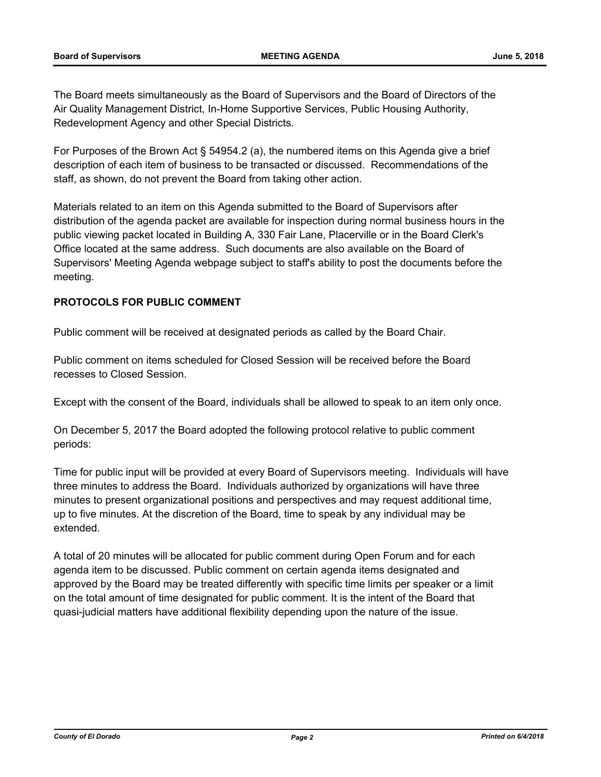The Board meets simultaneously as the Board of Supervisors and the Board of Directors of the Air Quality Management District, In-Home Supportive Services, Public Housing Authority, Redevelopment Agency and other Special Districts.

For Purposes of the Brown Act § 54954.2 (a), the numbered items on this Agenda give a brief description of each item of business to be transacted or discussed. Recommendations of the staff, as shown, do not prevent the Board from taking other action.

Materials related to an item on this Agenda submitted to the Board of Supervisors after distribution of the agenda packet are available for inspection during normal business hours in the public viewing packet located in Building A, 330 Fair Lane, Placerville or in the Board Clerk's Office located at the same address. Such documents are also available on the Board of Supervisors' Meeting Agenda webpage subject to staff's ability to post the documents before the meeting.

## **PROTOCOLS FOR PUBLIC COMMENT**

Public comment will be received at designated periods as called by the Board Chair.

Public comment on items scheduled for Closed Session will be received before the Board recesses to Closed Session.

Except with the consent of the Board, individuals shall be allowed to speak to an item only once.

On December 5, 2017 the Board adopted the following protocol relative to public comment periods:

Time for public input will be provided at every Board of Supervisors meeting. Individuals will have three minutes to address the Board. Individuals authorized by organizations will have three minutes to present organizational positions and perspectives and may request additional time, up to five minutes. At the discretion of the Board, time to speak by any individual may be extended.

A total of 20 minutes will be allocated for public comment during Open Forum and for each agenda item to be discussed. Public comment on certain agenda items designated and approved by the Board may be treated differently with specific time limits per speaker or a limit on the total amount of time designated for public comment. It is the intent of the Board that quasi-judicial matters have additional flexibility depending upon the nature of the issue.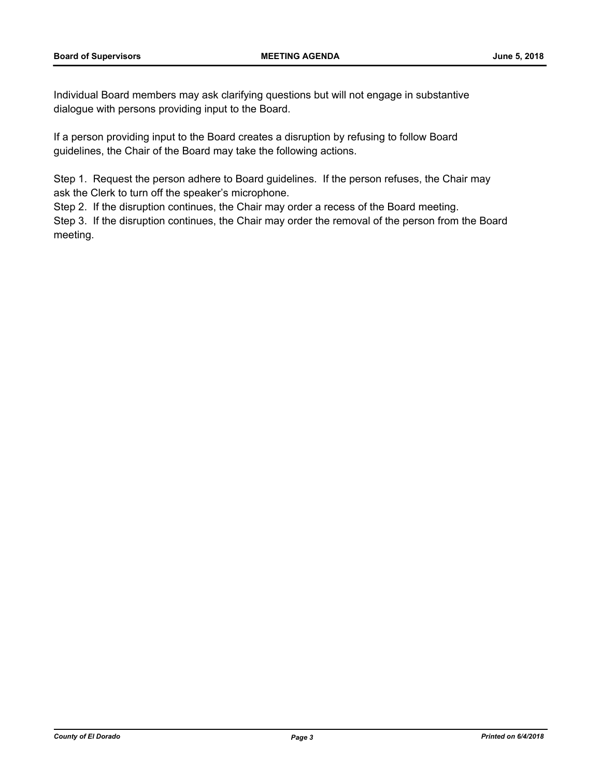Individual Board members may ask clarifying questions but will not engage in substantive dialogue with persons providing input to the Board.

If a person providing input to the Board creates a disruption by refusing to follow Board guidelines, the Chair of the Board may take the following actions.

Step 1. Request the person adhere to Board guidelines. If the person refuses, the Chair may ask the Clerk to turn off the speaker's microphone.

Step 2. If the disruption continues, the Chair may order a recess of the Board meeting.

Step 3. If the disruption continues, the Chair may order the removal of the person from the Board meeting.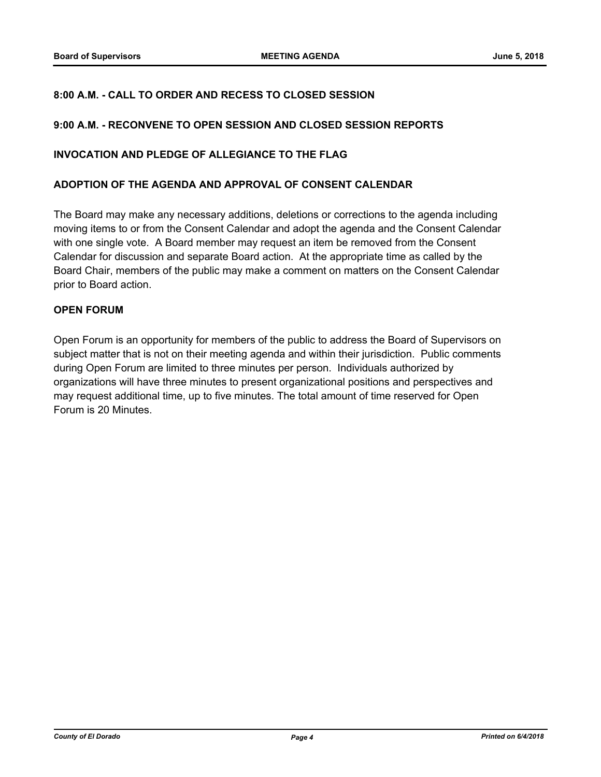### **8:00 A.M. - CALL TO ORDER AND RECESS TO CLOSED SESSION**

#### **9:00 A.M. - RECONVENE TO OPEN SESSION AND CLOSED SESSION REPORTS**

#### **INVOCATION AND PLEDGE OF ALLEGIANCE TO THE FLAG**

#### **ADOPTION OF THE AGENDA AND APPROVAL OF CONSENT CALENDAR**

The Board may make any necessary additions, deletions or corrections to the agenda including moving items to or from the Consent Calendar and adopt the agenda and the Consent Calendar with one single vote. A Board member may request an item be removed from the Consent Calendar for discussion and separate Board action. At the appropriate time as called by the Board Chair, members of the public may make a comment on matters on the Consent Calendar prior to Board action.

#### **OPEN FORUM**

Open Forum is an opportunity for members of the public to address the Board of Supervisors on subject matter that is not on their meeting agenda and within their jurisdiction. Public comments during Open Forum are limited to three minutes per person. Individuals authorized by organizations will have three minutes to present organizational positions and perspectives and may request additional time, up to five minutes. The total amount of time reserved for Open Forum is 20 Minutes.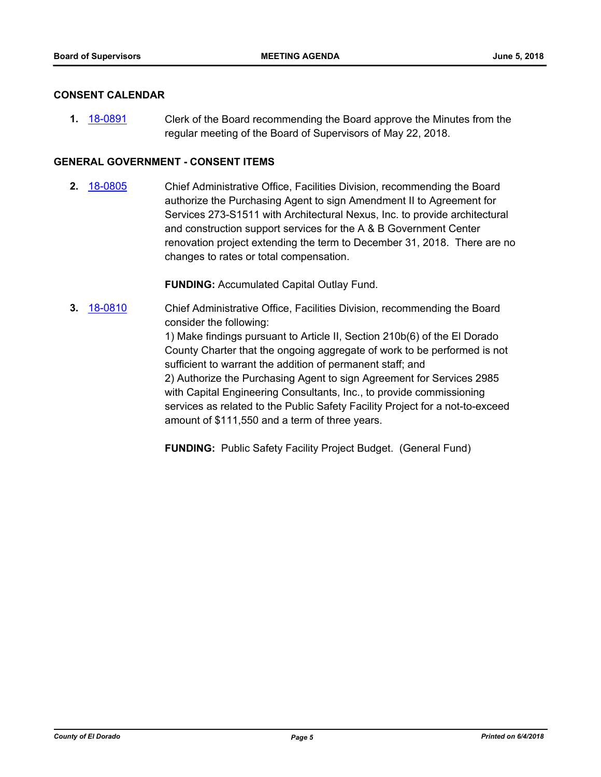#### **CONSENT CALENDAR**

**1.** [18-0891](http://eldorado.legistar.com/gateway.aspx?m=l&id=/matter.aspx?key=24238) Clerk of the Board recommending the Board approve the Minutes from the regular meeting of the Board of Supervisors of May 22, 2018.

#### **GENERAL GOVERNMENT - CONSENT ITEMS**

**2.** [18-0805](http://eldorado.legistar.com/gateway.aspx?m=l&id=/matter.aspx?key=24152) Chief Administrative Office, Facilities Division, recommending the Board authorize the Purchasing Agent to sign Amendment II to Agreement for Services 273-S1511 with Architectural Nexus, Inc. to provide architectural and construction support services for the A & B Government Center renovation project extending the term to December 31, 2018. There are no changes to rates or total compensation.

**FUNDING:** Accumulated Capital Outlay Fund.

**3.** [18-0810](http://eldorado.legistar.com/gateway.aspx?m=l&id=/matter.aspx?key=24157) Chief Administrative Office, Facilities Division, recommending the Board consider the following:

> 1) Make findings pursuant to Article II, Section 210b(6) of the El Dorado County Charter that the ongoing aggregate of work to be performed is not sufficient to warrant the addition of permanent staff; and 2) Authorize the Purchasing Agent to sign Agreement for Services 2985 with Capital Engineering Consultants, Inc., to provide commissioning services as related to the Public Safety Facility Project for a not-to-exceed amount of \$111,550 and a term of three years.

**FUNDING:** Public Safety Facility Project Budget. (General Fund)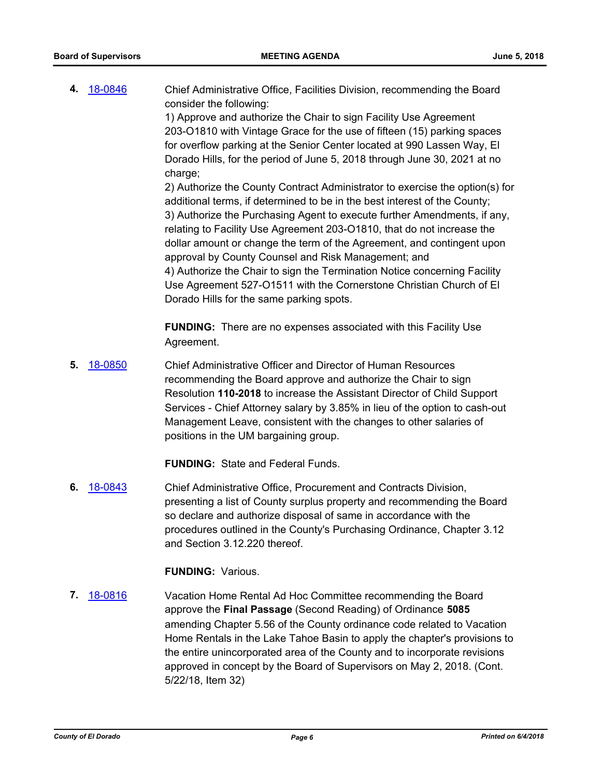**4.** [18-0846](http://eldorado.legistar.com/gateway.aspx?m=l&id=/matter.aspx?key=24193) Chief Administrative Office, Facilities Division, recommending the Board consider the following:

> 1) Approve and authorize the Chair to sign Facility Use Agreement 203-O1810 with Vintage Grace for the use of fifteen (15) parking spaces for overflow parking at the Senior Center located at 990 Lassen Way, El Dorado Hills, for the period of June 5, 2018 through June 30, 2021 at no charge;

2) Authorize the County Contract Administrator to exercise the option(s) for additional terms, if determined to be in the best interest of the County; 3) Authorize the Purchasing Agent to execute further Amendments, if any, relating to Facility Use Agreement 203-O1810, that do not increase the dollar amount or change the term of the Agreement, and contingent upon approval by County Counsel and Risk Management; and 4) Authorize the Chair to sign the Termination Notice concerning Facility Use Agreement 527-O1511 with the Cornerstone Christian Church of El Dorado Hills for the same parking spots.

**FUNDING:** There are no expenses associated with this Facility Use Agreement.

**5.** [18-0850](http://eldorado.legistar.com/gateway.aspx?m=l&id=/matter.aspx?key=24197) Chief Administrative Officer and Director of Human Resources recommending the Board approve and authorize the Chair to sign Resolution **110-2018** to increase the Assistant Director of Child Support Services - Chief Attorney salary by 3.85% in lieu of the option to cash-out Management Leave, consistent with the changes to other salaries of positions in the UM bargaining group.

**FUNDING:** State and Federal Funds.

**6.** [18-0843](http://eldorado.legistar.com/gateway.aspx?m=l&id=/matter.aspx?key=24190) Chief Administrative Office, Procurement and Contracts Division, presenting a list of County surplus property and recommending the Board so declare and authorize disposal of same in accordance with the procedures outlined in the County's Purchasing Ordinance, Chapter 3.12 and Section 3.12.220 thereof.

#### **FUNDING:** Various.

**7.** [18-0816](http://eldorado.legistar.com/gateway.aspx?m=l&id=/matter.aspx?key=24163) Vacation Home Rental Ad Hoc Committee recommending the Board approve the **Final Passage** (Second Reading) of Ordinance **5085** amending Chapter 5.56 of the County ordinance code related to Vacation Home Rentals in the Lake Tahoe Basin to apply the chapter's provisions to the entire unincorporated area of the County and to incorporate revisions approved in concept by the Board of Supervisors on May 2, 2018. (Cont. 5/22/18, Item 32)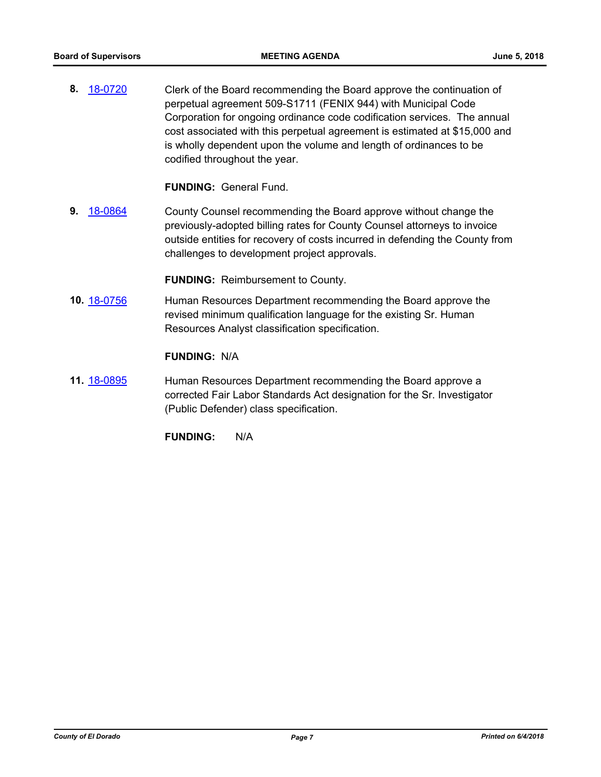**8.** [18-0720](http://eldorado.legistar.com/gateway.aspx?m=l&id=/matter.aspx?key=24066) Clerk of the Board recommending the Board approve the continuation of perpetual agreement 509-S1711 (FENIX 944) with Municipal Code Corporation for ongoing ordinance code codification services. The annual cost associated with this perpetual agreement is estimated at \$15,000 and is wholly dependent upon the volume and length of ordinances to be codified throughout the year.

**FUNDING:** General Fund.

**9.** [18-0864](http://eldorado.legistar.com/gateway.aspx?m=l&id=/matter.aspx?key=24211) County Counsel recommending the Board approve without change the previously-adopted billing rates for County Counsel attorneys to invoice outside entities for recovery of costs incurred in defending the County from challenges to development project approvals.

**FUNDING:** Reimbursement to County.

**10.** [18-0756](http://eldorado.legistar.com/gateway.aspx?m=l&id=/matter.aspx?key=24103) Human Resources Department recommending the Board approve the revised minimum qualification language for the existing Sr. Human Resources Analyst classification specification.

## **FUNDING:** N/A

**11.** [18-0895](http://eldorado.legistar.com/gateway.aspx?m=l&id=/matter.aspx?key=24242) Human Resources Department recommending the Board approve a corrected Fair Labor Standards Act designation for the Sr. Investigator (Public Defender) class specification.

**FUNDING:** N/A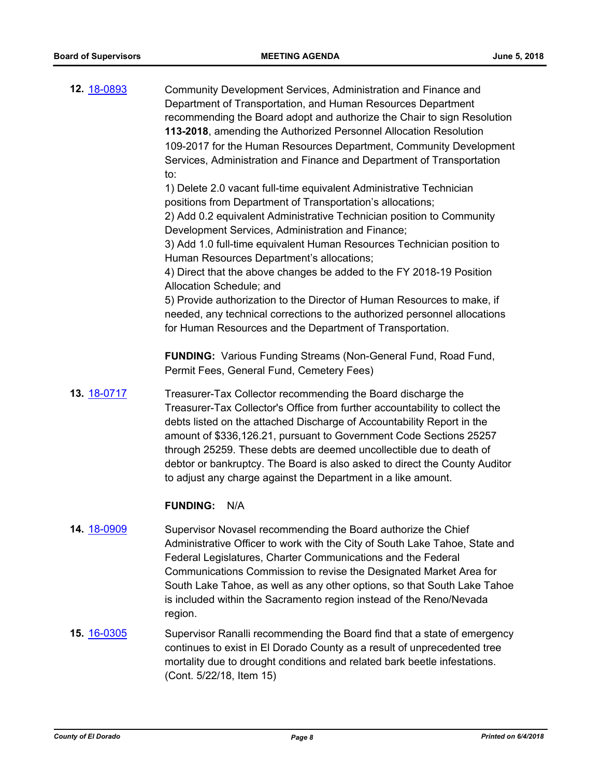| 12. 18-0893        | Community Development Services, Administration and Finance and<br>Department of Transportation, and Human Resources Department<br>recommending the Board adopt and authorize the Chair to sign Resolution<br>113-2018, amending the Authorized Personnel Allocation Resolution<br>109-2017 for the Human Resources Department, Community Development<br>Services, Administration and Finance and Department of Transportation<br>to:<br>1) Delete 2.0 vacant full-time equivalent Administrative Technician<br>positions from Department of Transportation's allocations;<br>2) Add 0.2 equivalent Administrative Technician position to Community<br>Development Services, Administration and Finance;<br>3) Add 1.0 full-time equivalent Human Resources Technician position to<br>Human Resources Department's allocations;<br>4) Direct that the above changes be added to the FY 2018-19 Position<br>Allocation Schedule; and<br>5) Provide authorization to the Director of Human Resources to make, if<br>needed, any technical corrections to the authorized personnel allocations<br>for Human Resources and the Department of Transportation. |
|--------------------|---------------------------------------------------------------------------------------------------------------------------------------------------------------------------------------------------------------------------------------------------------------------------------------------------------------------------------------------------------------------------------------------------------------------------------------------------------------------------------------------------------------------------------------------------------------------------------------------------------------------------------------------------------------------------------------------------------------------------------------------------------------------------------------------------------------------------------------------------------------------------------------------------------------------------------------------------------------------------------------------------------------------------------------------------------------------------------------------------------------------------------------------------------|
|                    | <b>FUNDING:</b> Various Funding Streams (Non-General Fund, Road Fund,<br>Permit Fees, General Fund, Cemetery Fees)                                                                                                                                                                                                                                                                                                                                                                                                                                                                                                                                                                                                                                                                                                                                                                                                                                                                                                                                                                                                                                      |
| 13. 18-0717        | Treasurer-Tax Collector recommending the Board discharge the<br>Treasurer-Tax Collector's Office from further accountability to collect the<br>debts listed on the attached Discharge of Accountability Report in the<br>amount of \$336,126.21, pursuant to Government Code Sections 25257<br>through 25259. These debts are deemed uncollectible due to death of<br>debtor or bankruptcy. The Board is also asked to direct the County Auditor<br>to adjust any charge against the Department in a like amount.                                                                                                                                                                                                                                                                                                                                                                                                                                                                                                                                                                                                                                       |
|                    | <b>FUNDING:</b><br>N/A                                                                                                                                                                                                                                                                                                                                                                                                                                                                                                                                                                                                                                                                                                                                                                                                                                                                                                                                                                                                                                                                                                                                  |
| 14. 18-0909        | Supervisor Novasel recommending the Board authorize the Chief<br>Administrative Officer to work with the City of South Lake Tahoe, State and<br>Federal Legislatures, Charter Communications and the Federal<br>Communications Commission to revise the Designated Market Area for<br>South Lake Tahoe, as well as any other options, so that South Lake Tahoe<br>is included within the Sacramento region instead of the Reno/Nevada<br>region.                                                                                                                                                                                                                                                                                                                                                                                                                                                                                                                                                                                                                                                                                                        |
| <b>15.</b> 16-0305 | Supervisor Ranalli recommending the Board find that a state of emergency<br>continues to exist in El Dorado County as a result of unprecedented tree                                                                                                                                                                                                                                                                                                                                                                                                                                                                                                                                                                                                                                                                                                                                                                                                                                                                                                                                                                                                    |

continues to exist in El Dorado County as a result of unprecedented tree mortality due to drought conditions and related bark beetle infestations. (Cont. 5/22/18, Item 15)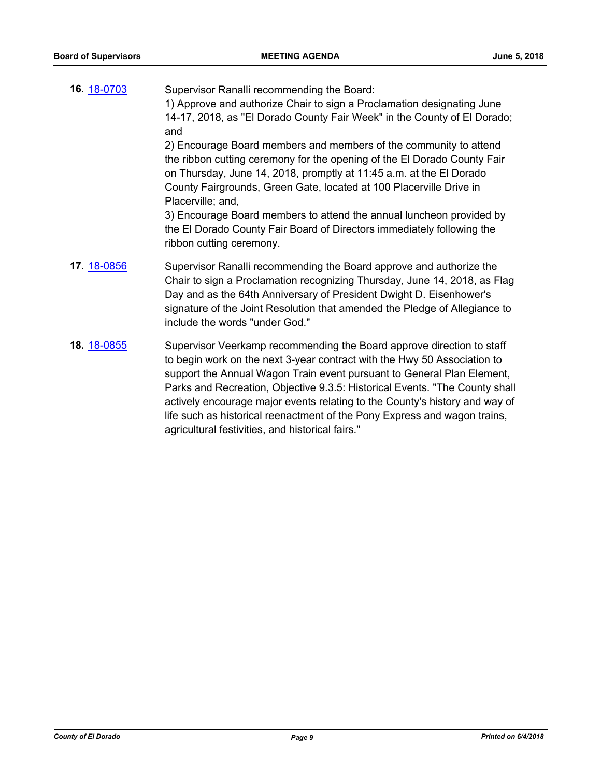| 16. 18-0703 | Supervisor Ranalli recommending the Board:<br>1) Approve and authorize Chair to sign a Proclamation designating June<br>14-17, 2018, as "El Dorado County Fair Week" in the County of El Dorado;<br>and                                                                                                                                 |
|-------------|-----------------------------------------------------------------------------------------------------------------------------------------------------------------------------------------------------------------------------------------------------------------------------------------------------------------------------------------|
|             | 2) Encourage Board members and members of the community to attend<br>the ribbon cutting ceremony for the opening of the El Dorado County Fair<br>on Thursday, June 14, 2018, promptly at 11:45 a.m. at the El Dorado<br>County Fairgrounds, Green Gate, located at 100 Placerville Drive in<br>Placerville; and,                        |
|             | 3) Encourage Board members to attend the annual luncheon provided by<br>the El Dorado County Fair Board of Directors immediately following the<br>ribbon cutting ceremony.                                                                                                                                                              |
| 17. 18-0856 | Supervisor Ranalli recommending the Board approve and authorize the<br>Chair to sign a Proclamation recognizing Thursday, June 14, 2018, as Flag<br>Day and as the 64th Anniversary of President Dwight D. Eisenhower's<br>signature of the Joint Resolution that amended the Pledge of Allegiance to<br>include the words "under God." |
| 18. 18-0855 | Supervisor Veerkamp recommending the Board approve direction to staff<br>to begin work on the next 3-year contract with the Hwy 50 Association to<br>support the Annual Wagon Train event pursuant to General Plan Element,<br>Parks and Recreation, Objective 9.3.5: Historical Events. "The County shall                              |

actively encourage major events relating to the County's history and way of life such as historical reenactment of the Pony Express and wagon trains, agricultural festivities, and historical fairs."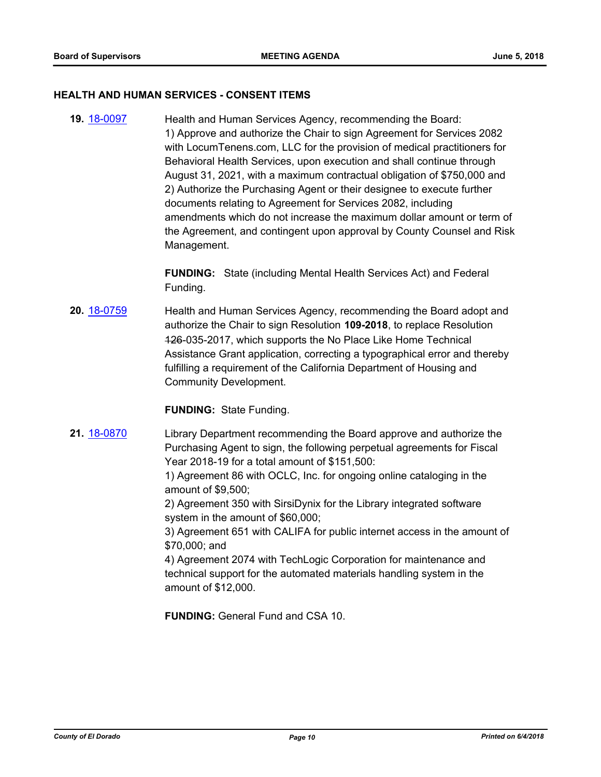#### **HEALTH AND HUMAN SERVICES - CONSENT ITEMS**

**19.** [18-0097](http://eldorado.legistar.com/gateway.aspx?m=l&id=/matter.aspx?key=23439) Health and Human Services Agency, recommending the Board: 1) Approve and authorize the Chair to sign Agreement for Services 2082 with LocumTenens.com, LLC for the provision of medical practitioners for Behavioral Health Services, upon execution and shall continue through August 31, 2021, with a maximum contractual obligation of \$750,000 and 2) Authorize the Purchasing Agent or their designee to execute further documents relating to Agreement for Services 2082, including amendments which do not increase the maximum dollar amount or term of the Agreement, and contingent upon approval by County Counsel and Risk Management.

> **FUNDING:** State (including Mental Health Services Act) and Federal Funding.

**20.** [18-0759](http://eldorado.legistar.com/gateway.aspx?m=l&id=/matter.aspx?key=24106) Health and Human Services Agency, recommending the Board adopt and authorize the Chair to sign Resolution **109-2018**, to replace Resolution 126-035-2017, which supports the No Place Like Home Technical Assistance Grant application, correcting a typographical error and thereby fulfilling a requirement of the California Department of Housing and Community Development.

**FUNDING:** State Funding.

**21.** [18-0870](http://eldorado.legistar.com/gateway.aspx?m=l&id=/matter.aspx?key=24217) Library Department recommending the Board approve and authorize the Purchasing Agent to sign, the following perpetual agreements for Fiscal Year 2018-19 for a total amount of \$151,500:

> 1) Agreement 86 with OCLC, Inc. for ongoing online cataloging in the amount of \$9,500;

2) Agreement 350 with SirsiDynix for the Library integrated software system in the amount of \$60,000;

3) Agreement 651 with CALIFA for public internet access in the amount of \$70,000; and

4) Agreement 2074 with TechLogic Corporation for maintenance and technical support for the automated materials handling system in the amount of \$12,000.

**FUNDING:** General Fund and CSA 10.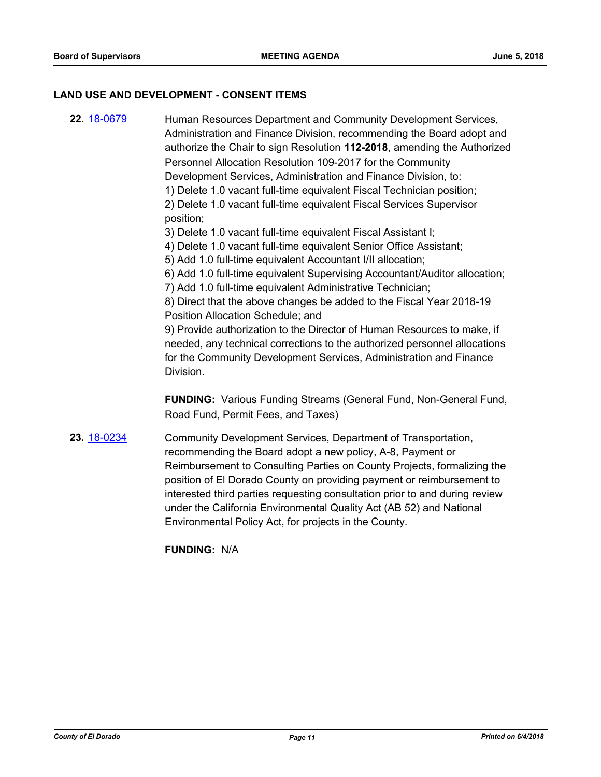#### **LAND USE AND DEVELOPMENT - CONSENT ITEMS**

**22.** [18-0679](http://eldorado.legistar.com/gateway.aspx?m=l&id=/matter.aspx?key=24024) Human Resources Department and Community Development Services, Administration and Finance Division, recommending the Board adopt and authorize the Chair to sign Resolution **112-2018**, amending the Authorized Personnel Allocation Resolution 109-2017 for the Community Development Services, Administration and Finance Division, to: 1) Delete 1.0 vacant full-time equivalent Fiscal Technician position; 2) Delete 1.0 vacant full-time equivalent Fiscal Services Supervisor position; 3) Delete 1.0 vacant full-time equivalent Fiscal Assistant I; 4) Delete 1.0 vacant full-time equivalent Senior Office Assistant; 5) Add 1.0 full-time equivalent Accountant I/II allocation; 6) Add 1.0 full-time equivalent Supervising Accountant/Auditor allocation; 7) Add 1.0 full-time equivalent Administrative Technician; 8) Direct that the above changes be added to the Fiscal Year 2018-19 Position Allocation Schedule; and 9) Provide authorization to the Director of Human Resources to make, if needed, any technical corrections to the authorized personnel allocations for the Community Development Services, Administration and Finance Division. **FUNDING:** Various Funding Streams (General Fund, Non-General Fund, Road Fund, Permit Fees, and Taxes) **23.** [18-0234](http://eldorado.legistar.com/gateway.aspx?m=l&id=/matter.aspx?key=23576) Community Development Services, Department of Transportation, recommending the Board adopt a new policy, A-8, Payment or Reimbursement to Consulting Parties on County Projects, formalizing the position of El Dorado County on providing payment or reimbursement to

interested third parties requesting consultation prior to and during review under the California Environmental Quality Act (AB 52) and National Environmental Policy Act, for projects in the County.

**FUNDING:** N/A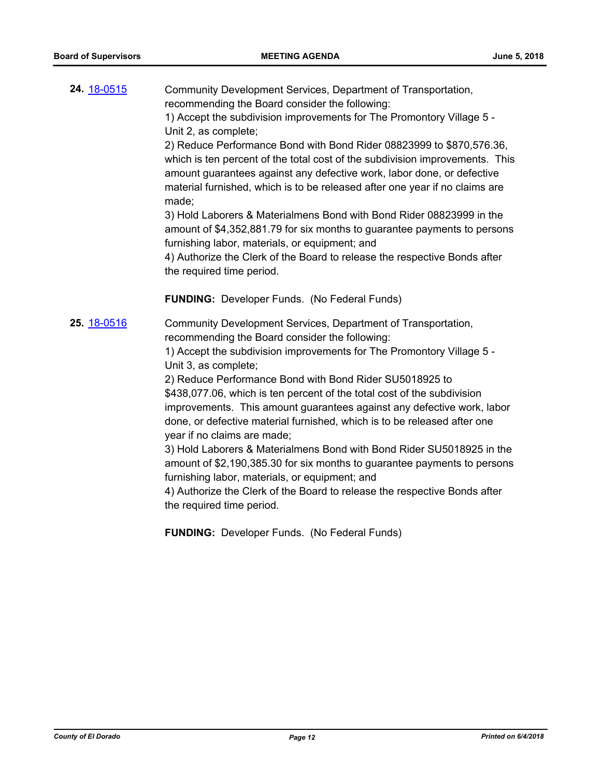| 24. 18-0515        | Community Development Services, Department of Transportation,<br>recommending the Board consider the following:<br>1) Accept the subdivision improvements for The Promontory Village 5 -<br>Unit 2, as complete;<br>2) Reduce Performance Bond with Bond Rider 08823999 to \$870,576.36,<br>which is ten percent of the total cost of the subdivision improvements. This<br>amount guarantees against any defective work, labor done, or defective<br>material furnished, which is to be released after one year if no claims are<br>made;<br>3) Hold Laborers & Materialmens Bond with Bond Rider 08823999 in the<br>amount of \$4,352,881.79 for six months to guarantee payments to persons<br>furnishing labor, materials, or equipment; and<br>4) Authorize the Clerk of the Board to release the respective Bonds after<br>the required time period.<br><b>FUNDING:</b> Developer Funds. (No Federal Funds)   |
|--------------------|---------------------------------------------------------------------------------------------------------------------------------------------------------------------------------------------------------------------------------------------------------------------------------------------------------------------------------------------------------------------------------------------------------------------------------------------------------------------------------------------------------------------------------------------------------------------------------------------------------------------------------------------------------------------------------------------------------------------------------------------------------------------------------------------------------------------------------------------------------------------------------------------------------------------|
| <b>25.</b> 18-0516 | Community Development Services, Department of Transportation,<br>recommending the Board consider the following:<br>1) Accept the subdivision improvements for The Promontory Village 5 -<br>Unit 3, as complete;<br>2) Reduce Performance Bond with Bond Rider SU5018925 to<br>\$438,077.06, which is ten percent of the total cost of the subdivision<br>improvements. This amount guarantees against any defective work, labor<br>done, or defective material furnished, which is to be released after one<br>year if no claims are made;<br>3) Hold Laborers & Materialmens Bond with Bond Rider SU5018925 in the<br>amount of \$2,190,385.30 for six months to guarantee payments to persons<br>furnishing labor, materials, or equipment; and<br>4) Authorize the Clerk of the Board to release the respective Bonds after<br>the required time period.<br><b>FUNDING: Developer Funds. (No Federal Funds)</b> |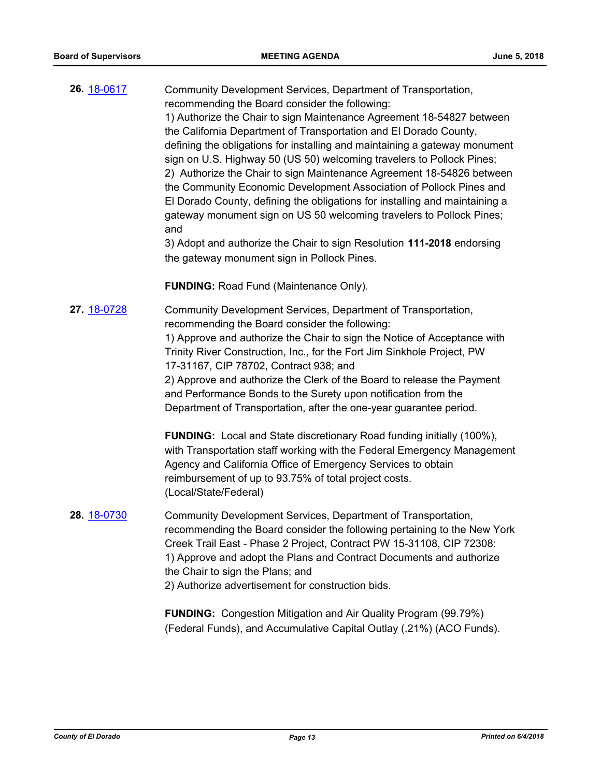| 26. 18-0617 | Community Development Services, Department of Transportation,<br>recommending the Board consider the following:<br>1) Authorize the Chair to sign Maintenance Agreement 18-54827 between<br>the California Department of Transportation and El Dorado County,<br>defining the obligations for installing and maintaining a gateway monument<br>sign on U.S. Highway 50 (US 50) welcoming travelers to Pollock Pines;<br>2) Authorize the Chair to sign Maintenance Agreement 18-54826 between<br>the Community Economic Development Association of Pollock Pines and<br>El Dorado County, defining the obligations for installing and maintaining a<br>gateway monument sign on US 50 welcoming travelers to Pollock Pines;<br>and<br>3) Adopt and authorize the Chair to sign Resolution 111-2018 endorsing<br>the gateway monument sign in Pollock Pines. |
|-------------|-------------------------------------------------------------------------------------------------------------------------------------------------------------------------------------------------------------------------------------------------------------------------------------------------------------------------------------------------------------------------------------------------------------------------------------------------------------------------------------------------------------------------------------------------------------------------------------------------------------------------------------------------------------------------------------------------------------------------------------------------------------------------------------------------------------------------------------------------------------|
|             | <b>FUNDING: Road Fund (Maintenance Only).</b>                                                                                                                                                                                                                                                                                                                                                                                                                                                                                                                                                                                                                                                                                                                                                                                                               |
| 27. 18-0728 | Community Development Services, Department of Transportation,<br>recommending the Board consider the following:<br>1) Approve and authorize the Chair to sign the Notice of Acceptance with<br>Trinity River Construction, Inc., for the Fort Jim Sinkhole Project, PW<br>17-31167, CIP 78702, Contract 938; and<br>2) Approve and authorize the Clerk of the Board to release the Payment<br>and Performance Bonds to the Surety upon notification from the<br>Department of Transportation, after the one-year guarantee period.                                                                                                                                                                                                                                                                                                                          |
|             | <b>FUNDING:</b> Local and State discretionary Road funding initially (100%),<br>with Transportation staff working with the Federal Emergency Management<br>Agency and California Office of Emergency Services to obtain<br>reimbursement of up to 93.75% of total project costs.<br>(Local/State/Federal)                                                                                                                                                                                                                                                                                                                                                                                                                                                                                                                                                   |
| 28. 18-0730 | Community Development Services, Department of Transportation,<br>recommending the Board consider the following pertaining to the New York<br>Creek Trail East - Phase 2 Project, Contract PW 15-31108, CIP 72308:<br>1) Approve and adopt the Plans and Contract Documents and authorize<br>the Chair to sign the Plans; and<br>2) Authorize advertisement for construction bids.                                                                                                                                                                                                                                                                                                                                                                                                                                                                           |
|             | <b>FUNDING:</b> Congestion Mitigation and Air Quality Program (99.79%)                                                                                                                                                                                                                                                                                                                                                                                                                                                                                                                                                                                                                                                                                                                                                                                      |

(Federal Funds), and Accumulative Capital Outlay (.21%) (ACO Funds).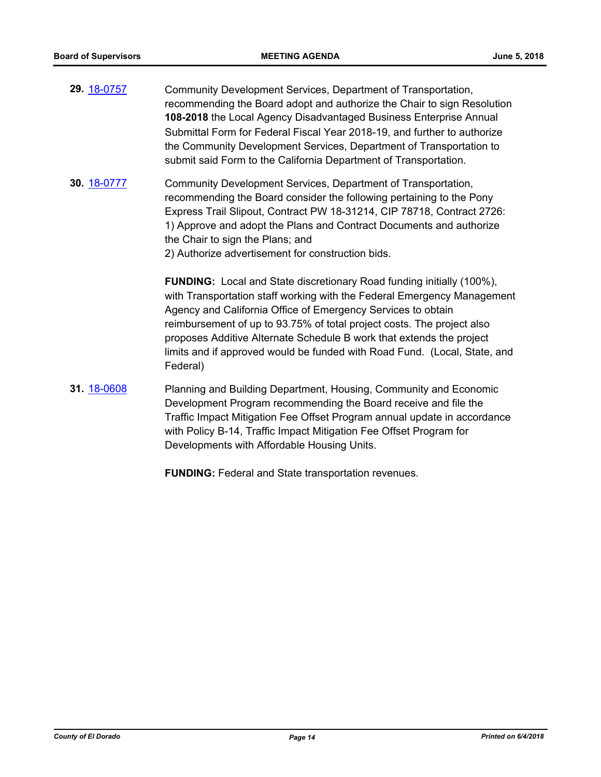- **29.** [18-0757](http://eldorado.legistar.com/gateway.aspx?m=l&id=/matter.aspx?key=24104) Community Development Services, Department of Transportation, recommending the Board adopt and authorize the Chair to sign Resolution **108-2018** the Local Agency Disadvantaged Business Enterprise Annual Submittal Form for Federal Fiscal Year 2018-19, and further to authorize the Community Development Services, Department of Transportation to submit said Form to the California Department of Transportation.
- **30.** [18-0777](http://eldorado.legistar.com/gateway.aspx?m=l&id=/matter.aspx?key=24124) Community Development Services, Department of Transportation, recommending the Board consider the following pertaining to the Pony Express Trail Slipout, Contract PW 18-31214, CIP 78718, Contract 2726: 1) Approve and adopt the Plans and Contract Documents and authorize the Chair to sign the Plans; and

2) Authorize advertisement for construction bids.

**FUNDING:** Local and State discretionary Road funding initially (100%), with Transportation staff working with the Federal Emergency Management Agency and California Office of Emergency Services to obtain reimbursement of up to 93.75% of total project costs. The project also proposes Additive Alternate Schedule B work that extends the project limits and if approved would be funded with Road Fund. (Local, State, and Federal)

**31.** [18-0608](http://eldorado.legistar.com/gateway.aspx?m=l&id=/matter.aspx?key=23953) Planning and Building Department, Housing, Community and Economic Development Program recommending the Board receive and file the Traffic Impact Mitigation Fee Offset Program annual update in accordance with Policy B-14, Traffic Impact Mitigation Fee Offset Program for Developments with Affordable Housing Units.

**FUNDING:** Federal and State transportation revenues.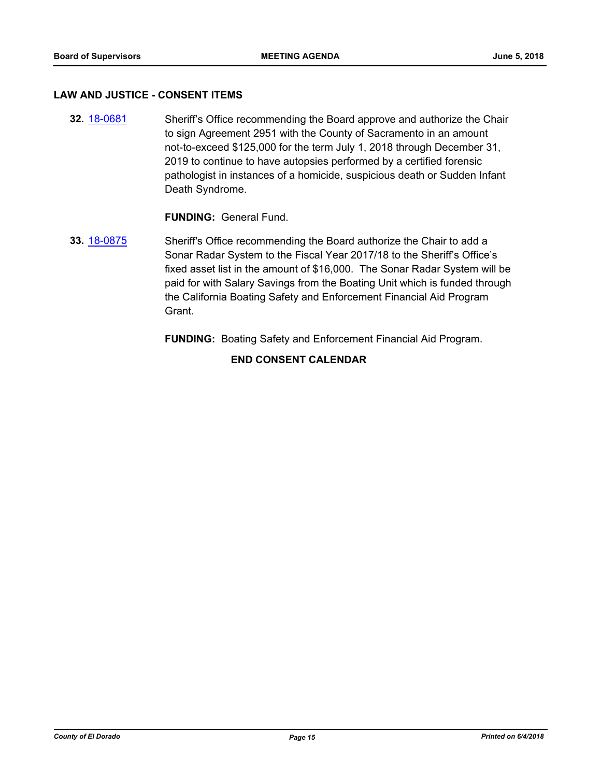#### **LAW AND JUSTICE - CONSENT ITEMS**

**32.** [18-0681](http://eldorado.legistar.com/gateway.aspx?m=l&id=/matter.aspx?key=24026) Sheriff's Office recommending the Board approve and authorize the Chair to sign Agreement 2951 with the County of Sacramento in an amount not-to-exceed \$125,000 for the term July 1, 2018 through December 31, 2019 to continue to have autopsies performed by a certified forensic pathologist in instances of a homicide, suspicious death or Sudden Infant Death Syndrome.

## **FUNDING:** General Fund.

**33.** [18-0875](http://eldorado.legistar.com/gateway.aspx?m=l&id=/matter.aspx?key=24222) Sheriff's Office recommending the Board authorize the Chair to add a Sonar Radar System to the Fiscal Year 2017/18 to the Sheriff's Office's fixed asset list in the amount of \$16,000. The Sonar Radar System will be paid for with Salary Savings from the Boating Unit which is funded through the California Boating Safety and Enforcement Financial Aid Program Grant.

**FUNDING:** Boating Safety and Enforcement Financial Aid Program.

#### **END CONSENT CALENDAR**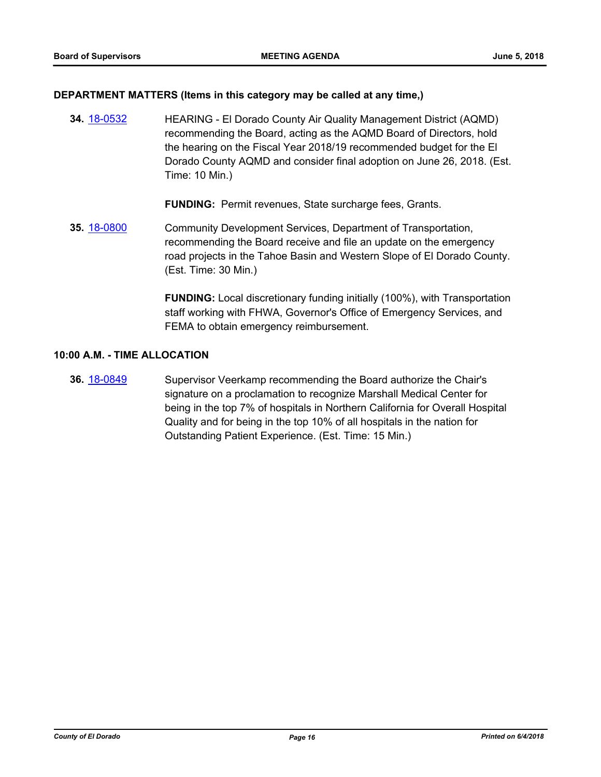#### **DEPARTMENT MATTERS (Items in this category may be called at any time,)**

**34.** [18-0532](http://eldorado.legistar.com/gateway.aspx?m=l&id=/matter.aspx?key=23877) HEARING - El Dorado County Air Quality Management District (AQMD) recommending the Board, acting as the AQMD Board of Directors, hold the hearing on the Fiscal Year 2018/19 recommended budget for the El Dorado County AQMD and consider final adoption on June 26, 2018. (Est. Time: 10 Min.)

**FUNDING:** Permit revenues, State surcharge fees, Grants.

**35.** [18-0800](http://eldorado.legistar.com/gateway.aspx?m=l&id=/matter.aspx?key=24147) Community Development Services, Department of Transportation, recommending the Board receive and file an update on the emergency road projects in the Tahoe Basin and Western Slope of El Dorado County. (Est. Time: 30 Min.)

> **FUNDING:** Local discretionary funding initially (100%), with Transportation staff working with FHWA, Governor's Office of Emergency Services, and FEMA to obtain emergency reimbursement.

#### **10:00 A.M. - TIME ALLOCATION**

**36.** [18-0849](http://eldorado.legistar.com/gateway.aspx?m=l&id=/matter.aspx?key=24196) Supervisor Veerkamp recommending the Board authorize the Chair's signature on a proclamation to recognize Marshall Medical Center for being in the top 7% of hospitals in Northern California for Overall Hospital Quality and for being in the top 10% of all hospitals in the nation for Outstanding Patient Experience. (Est. Time: 15 Min.)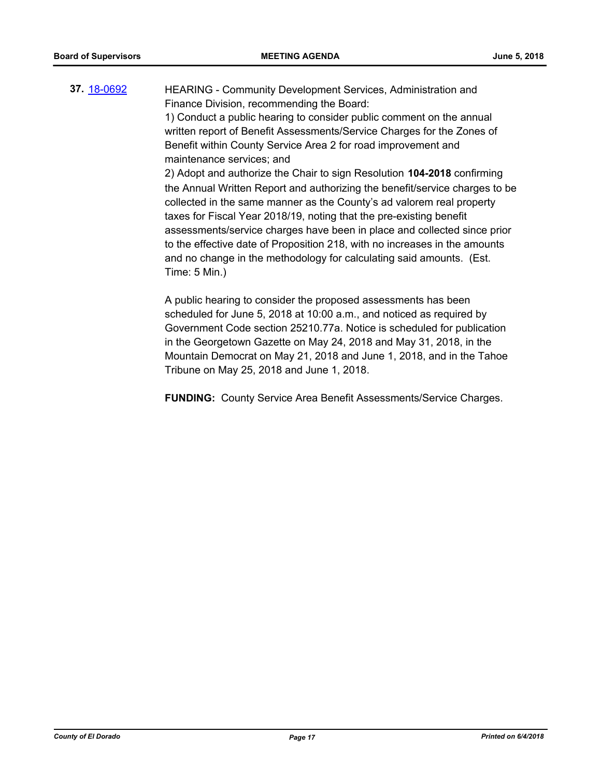**37.** [18-0692](http://eldorado.legistar.com/gateway.aspx?m=l&id=/matter.aspx?key=24036) HEARING - Community Development Services, Administration and Finance Division, recommending the Board: 1) Conduct a public hearing to consider public comment on the annual written report of Benefit Assessments/Service Charges for the Zones of Benefit within County Service Area 2 for road improvement and maintenance services; and 2) Adopt and authorize the Chair to sign Resolution **104-2018** confirming the Annual Written Report and authorizing the benefit/service charges to be collected in the same manner as the County's ad valorem real property taxes for Fiscal Year 2018/19, noting that the pre-existing benefit assessments/service charges have been in place and collected since prior to the effective date of Proposition 218, with no increases in the amounts and no change in the methodology for calculating said amounts. (Est. Time: 5 Min.)

> A public hearing to consider the proposed assessments has been scheduled for June 5, 2018 at 10:00 a.m., and noticed as required by Government Code section 25210.77a. Notice is scheduled for publication in the Georgetown Gazette on May 24, 2018 and May 31, 2018, in the Mountain Democrat on May 21, 2018 and June 1, 2018, and in the Tahoe Tribune on May 25, 2018 and June 1, 2018.

**FUNDING:** County Service Area Benefit Assessments/Service Charges.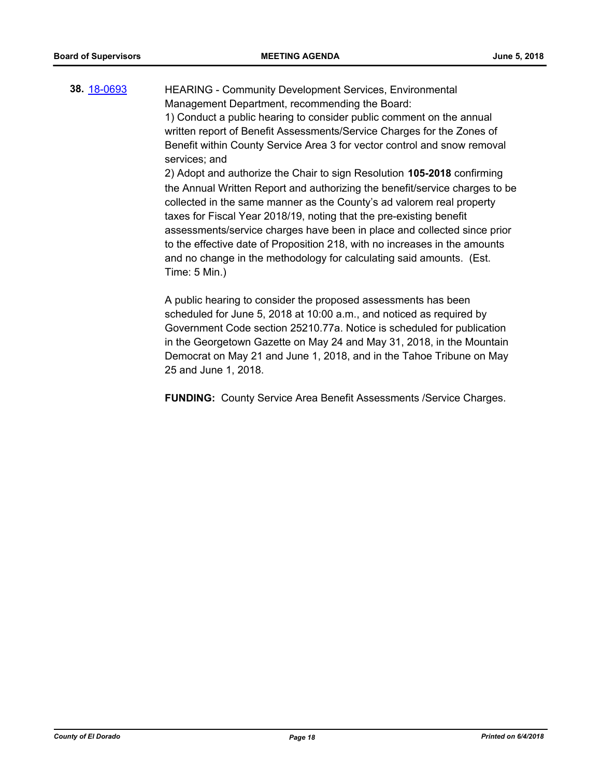**38.** [18-0693](http://eldorado.legistar.com/gateway.aspx?m=l&id=/matter.aspx?key=24037) HEARING - Community Development Services, Environmental Management Department, recommending the Board: 1) Conduct a public hearing to consider public comment on the annual written report of Benefit Assessments/Service Charges for the Zones of Benefit within County Service Area 3 for vector control and snow removal services; and 2) Adopt and authorize the Chair to sign Resolution **105-2018** confirming the Annual Written Report and authorizing the benefit/service charges to be collected in the same manner as the County's ad valorem real property taxes for Fiscal Year 2018/19, noting that the pre-existing benefit assessments/service charges have been in place and collected since prior to the effective date of Proposition 218, with no increases in the amounts and no change in the methodology for calculating said amounts. (Est. Time: 5 Min.)

> A public hearing to consider the proposed assessments has been scheduled for June 5, 2018 at 10:00 a.m., and noticed as required by Government Code section 25210.77a. Notice is scheduled for publication in the Georgetown Gazette on May 24 and May 31, 2018, in the Mountain Democrat on May 21 and June 1, 2018, and in the Tahoe Tribune on May 25 and June 1, 2018.

> **FUNDING:** County Service Area Benefit Assessments /Service Charges.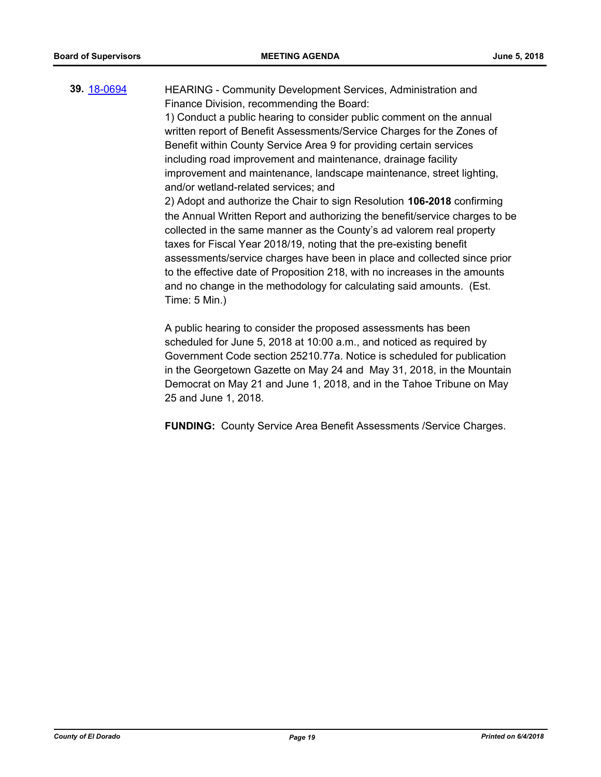**39.** [18-0694](http://eldorado.legistar.com/gateway.aspx?m=l&id=/matter.aspx?key=24038) HEARING - Community Development Services, Administration and Finance Division, recommending the Board: 1) Conduct a public hearing to consider public comment on the annual written report of Benefit Assessments/Service Charges for the Zones of Benefit within County Service Area 9 for providing certain services including road improvement and maintenance, drainage facility improvement and maintenance, landscape maintenance, street lighting, and/or wetland-related services; and 2) Adopt and authorize the Chair to sign Resolution **106-2018** confirming the Annual Written Report and authorizing the benefit/service charges to be

collected in the same manner as the County's ad valorem real property taxes for Fiscal Year 2018/19, noting that the pre-existing benefit assessments/service charges have been in place and collected since prior to the effective date of Proposition 218, with no increases in the amounts and no change in the methodology for calculating said amounts. (Est. Time: 5 Min.)

A public hearing to consider the proposed assessments has been scheduled for June 5, 2018 at 10:00 a.m., and noticed as required by Government Code section 25210.77a. Notice is scheduled for publication in the Georgetown Gazette on May 24 and May 31, 2018, in the Mountain Democrat on May 21 and June 1, 2018, and in the Tahoe Tribune on May 25 and June 1, 2018.

**FUNDING:** County Service Area Benefit Assessments /Service Charges.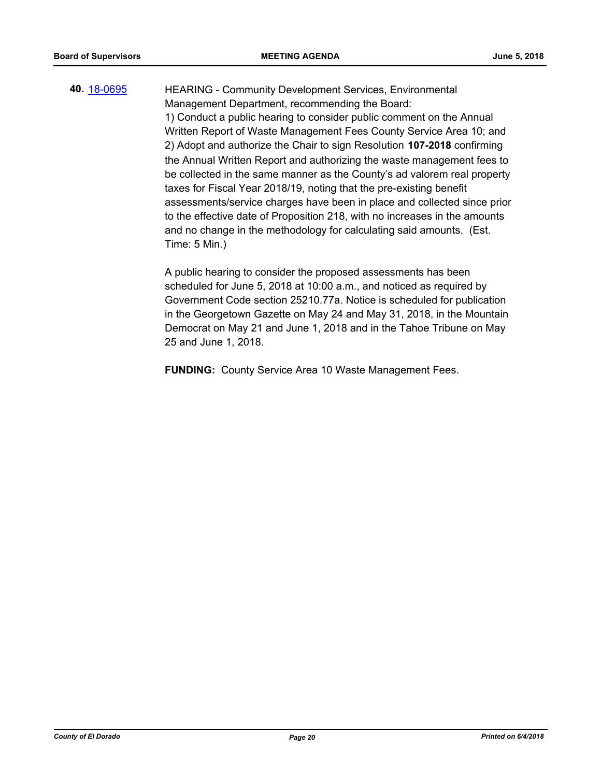**40.** [18-0695](http://eldorado.legistar.com/gateway.aspx?m=l&id=/matter.aspx?key=24039) HEARING - Community Development Services, Environmental Management Department, recommending the Board: 1) Conduct a public hearing to consider public comment on the Annual Written Report of Waste Management Fees County Service Area 10; and 2) Adopt and authorize the Chair to sign Resolution **107-2018** confirming the Annual Written Report and authorizing the waste management fees to be collected in the same manner as the County's ad valorem real property taxes for Fiscal Year 2018/19, noting that the pre-existing benefit assessments/service charges have been in place and collected since prior to the effective date of Proposition 218, with no increases in the amounts and no change in the methodology for calculating said amounts. (Est. Time: 5 Min.)

> A public hearing to consider the proposed assessments has been scheduled for June 5, 2018 at 10:00 a.m., and noticed as required by Government Code section 25210.77a. Notice is scheduled for publication in the Georgetown Gazette on May 24 and May 31, 2018, in the Mountain Democrat on May 21 and June 1, 2018 and in the Tahoe Tribune on May 25 and June 1, 2018.

**FUNDING:** County Service Area 10 Waste Management Fees.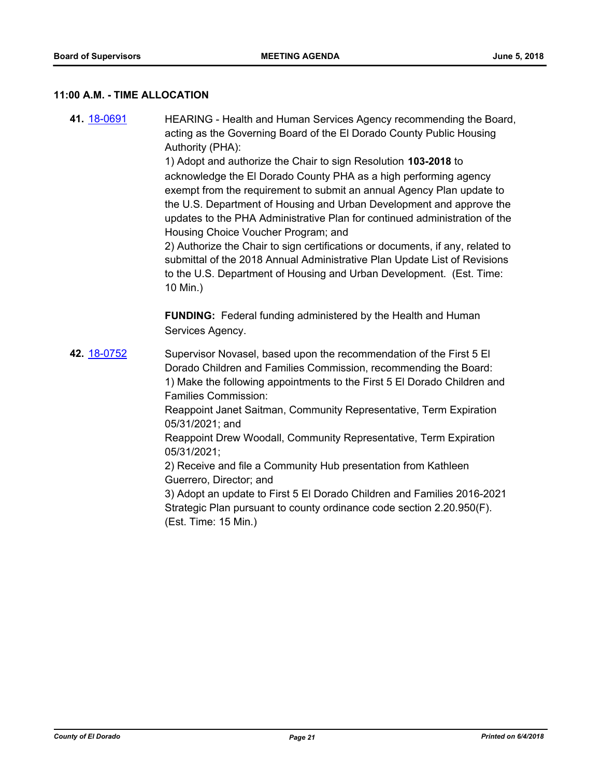#### **11:00 A.M. - TIME ALLOCATION**

**41.** [18-0691](http://eldorado.legistar.com/gateway.aspx?m=l&id=/matter.aspx?key=24035) HEARING - Health and Human Services Agency recommending the Board, acting as the Governing Board of the El Dorado County Public Housing Authority (PHA): 1) Adopt and authorize the Chair to sign Resolution **103-2018** to acknowledge the El Dorado County PHA as a high performing agency exempt from the requirement to submit an annual Agency Plan update to the U.S. Department of Housing and Urban Development and approve the updates to the PHA Administrative Plan for continued administration of the Housing Choice Voucher Program; and 2) Authorize the Chair to sign certifications or documents, if any, related to submittal of the 2018 Annual Administrative Plan Update List of Revisions to the U.S. Department of Housing and Urban Development. (Est. Time: 10 Min.) **FUNDING:** Federal funding administered by the Health and Human Services Agency. **42.** [18-0752](http://eldorado.legistar.com/gateway.aspx?m=l&id=/matter.aspx?key=24099) Supervisor Novasel, based upon the recommendation of the First 5 El Dorado Children and Families Commission, recommending the Board: 1) Make the following appointments to the First 5 El Dorado Children and Families Commission: Reappoint Janet Saitman, Community Representative, Term Expiration 05/31/2021; and Reappoint Drew Woodall, Community Representative, Term Expiration 05/31/2021; 2) Receive and file a Community Hub presentation from Kathleen Guerrero, Director; and 3) Adopt an update to First 5 El Dorado Children and Families 2016-2021 Strategic Plan pursuant to county ordinance code section 2.20.950(F). (Est. Time: 15 Min.)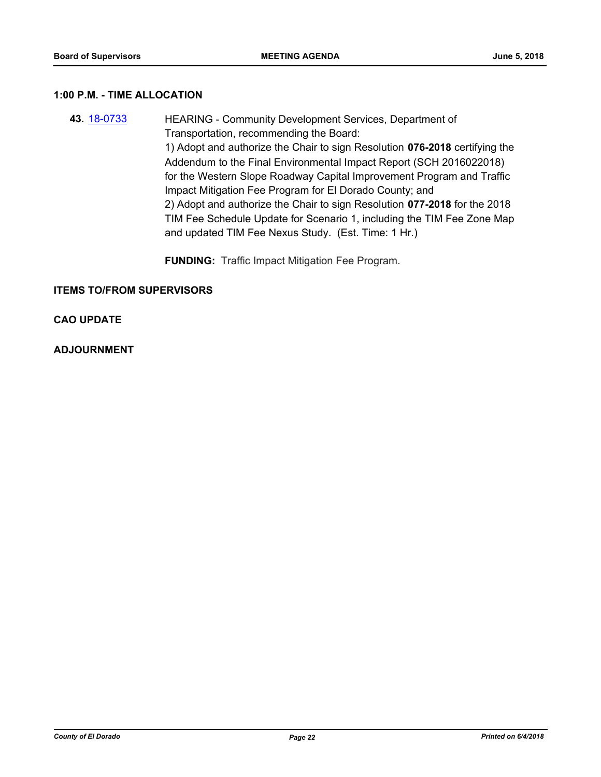#### **1:00 P.M. - TIME ALLOCATION**

- **43.** [18-0733](http://eldorado.legistar.com/gateway.aspx?m=l&id=/matter.aspx?key=24080) HEARING Community Development Services, Department of Transportation, recommending the Board: 1) Adopt and authorize the Chair to sign Resolution **076-2018** certifying the Addendum to the Final Environmental Impact Report (SCH 2016022018) for the Western Slope Roadway Capital Improvement Program and Traffic Impact Mitigation Fee Program for El Dorado County; and 2) Adopt and authorize the Chair to sign Resolution **077-2018** for the 2018 TIM Fee Schedule Update for Scenario 1, including the TIM Fee Zone Map and updated TIM Fee Nexus Study. (Est. Time: 1 Hr.)
	- **FUNDING:** Traffic Impact Mitigation Fee Program.

#### **ITEMS TO/FROM SUPERVISORS**

#### **CAO UPDATE**

#### **ADJOURNMENT**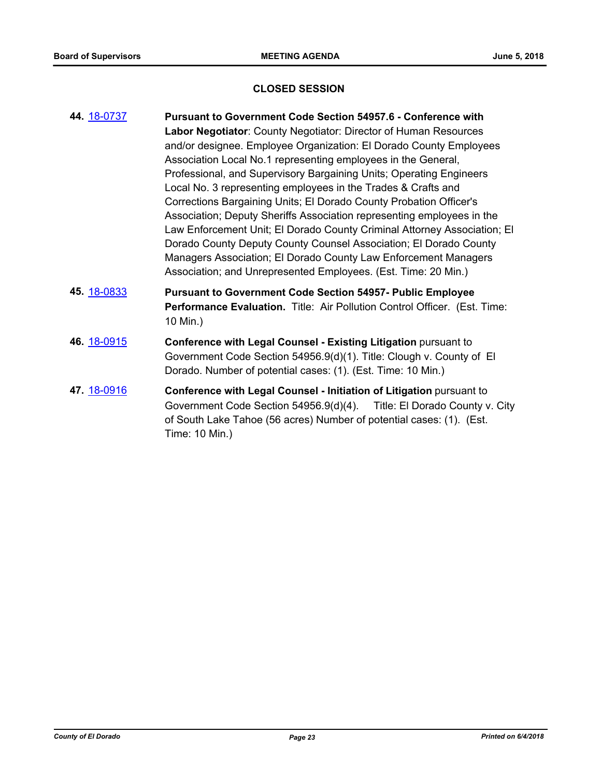## **CLOSED SESSION**

| 44. 18-0737 | Pursuant to Government Code Section 54957.6 - Conference with                                                                                 |
|-------------|-----------------------------------------------------------------------------------------------------------------------------------------------|
|             | Labor Negotiator: County Negotiator: Director of Human Resources                                                                              |
|             | and/or designee. Employee Organization: El Dorado County Employees                                                                            |
|             | Association Local No.1 representing employees in the General,                                                                                 |
|             | Professional, and Supervisory Bargaining Units; Operating Engineers                                                                           |
|             | Local No. 3 representing employees in the Trades & Crafts and                                                                                 |
|             | Corrections Bargaining Units; El Dorado County Probation Officer's                                                                            |
|             | Association; Deputy Sheriffs Association representing employees in the                                                                        |
|             | Law Enforcement Unit; El Dorado County Criminal Attorney Association; El<br>Dorado County Deputy County Counsel Association; El Dorado County |
|             | Managers Association; El Dorado County Law Enforcement Managers                                                                               |
|             | Association; and Unrepresented Employees. (Est. Time: 20 Min.)                                                                                |
| 45. 18-0833 | <b>Pursuant to Government Code Section 54957- Public Employee</b>                                                                             |
|             | Performance Evaluation. Title: Air Pollution Control Officer. (Est. Time:<br>10 Min.)                                                         |
| 46. 18-0915 | Conference with Legal Counsel - Existing Litigation pursuant to                                                                               |
|             | Government Code Section 54956.9(d)(1). Title: Clough v. County of El                                                                          |
|             | Dorado. Number of potential cases: (1). (Est. Time: 10 Min.)                                                                                  |
| 47. 18-0916 | Conference with Legal Counsel - Initiation of Litigation pursuant to                                                                          |
|             | Government Code Section 54956.9(d)(4). Title: El Dorado County v. City                                                                        |
|             | of South Lake Tahoe (56 acres) Number of potential cases: (1). (Est.                                                                          |
|             | Time: 10 Min.)                                                                                                                                |